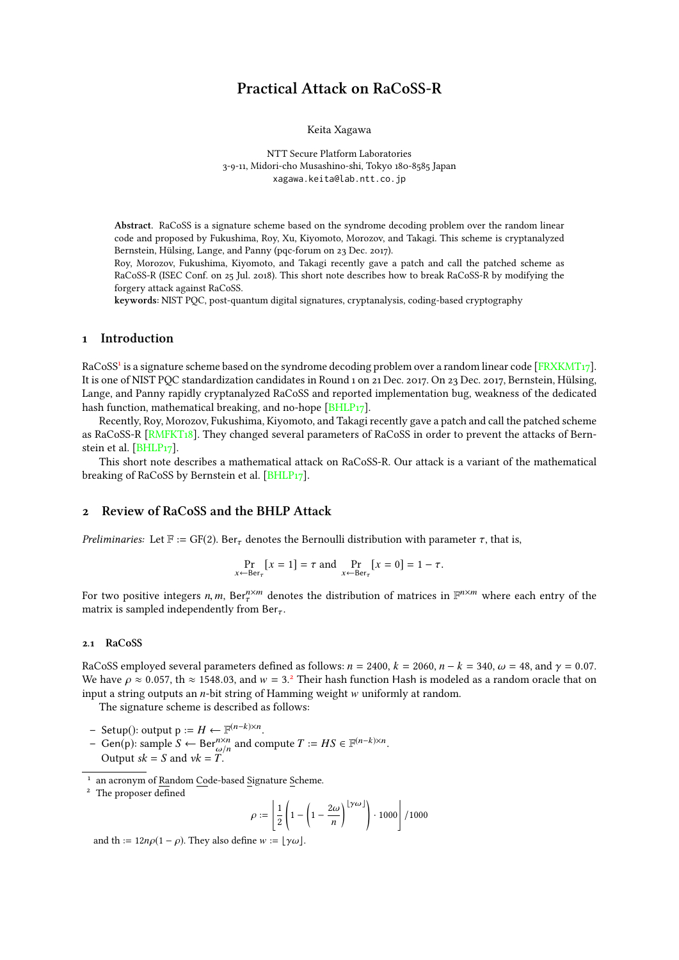# Practical Attack on RaCoSS-R

Keita Xagawa

NTT Secure Platform Laboratories 3-9-11, Midori-cho Musashino-shi, Tokyo 180-8585 Japan xagawa.keita@lab.ntt.co.jp

<span id="page-0-2"></span>Abstract. RaCoSS is a signature scheme based on the syndrome decoding problem over the random linear code and proposed by Fukushima, Roy, Xu, Kiyomoto, Morozov, and Takagi. This scheme is cryptanalyzed Bernstein, Hülsing, Lange, and Panny (pqc-forum on 23 Dec. 2017).

Roy, Morozov, Fukushima, Kiyomoto, and Takagi recently gave a patch and call the patched scheme as RaCoSS-R (ISEC Conf. on 25 Jul. 2018). This short note describes how to break RaCoSS-R by modifying the forgery attack against RaCoSS.

keywords: NIST PQC, post-quantum digital signatures, cryptanalysis, coding-based cryptography

# 1 Introduction

RaCoSS<sup>[1](#page-0-0)</sup> is a signature scheme based on the syndrome decoding problem over a random linear code [\[FRXKMT17\]](#page-2-0). It is one of NIST PQC standardization candidates in Round 1 on 21 Dec. 2017. On 23 Dec. 2017, Bernstein, Hülsing, Lange, and Panny rapidly cryptanalyzed RaCoSS and reported implementation bug, weakness of the dedicated hash function, mathematical breaking, and no-hope [\[BHLP17\]](#page-2-1).

Recently, Roy, Morozov, Fukushima, Kiyomoto, and Takagi recently gave a patch and call the patched scheme as RaCoSS-R [\[RMFKT18\]](#page-2-2). They changed several parameters of RaCoSS in order to prevent the attacks of Bernstein et al. [\[BHLP17\]](#page-2-1).

This short note describes a mathematical attack on RaCoSS-R. Our attack is a variant of the mathematical breaking of RaCoSS by Bernstein et al. [\[BHLP17\]](#page-2-1).

### 2 Review of RaCoSS and the BHLP Attack

Preliminaries: Let  $\mathbb{F} := GF(2)$ . Ber<sub>τ</sub> denotes the Bernoulli distribution with parameter  $\tau$ , that is,

$$
\Pr_{x \leftarrow \text{Ber}_{\tau}} [x = 1] = \tau \text{ and } \Pr_{x \leftarrow \text{Ber}_{\tau}} [x = 0] = 1 - \tau.
$$

For two positive integers *n*, *m*,  $\text{Ber}_{\tau}^{n \times m}$  denotes the distribution of matrices in  $\mathbb{F}^{n \times m}$  where each entry of the matrix is sampled independently from Ber matrix is sampled independently from  $Ber_{\tau}$ .

### 2.1 RaCoSS

RaCoSS employed several parameters defined as follows:  $n = 2400$ ,  $k = 2060$ ,  $n - k = 340$ ,  $\omega = 48$ , and  $\gamma = 0.07$ . We have  $\rho \approx 0.057$ , th  $\approx 1548.03$ , and  $w = 3.2$  $w = 3.2$  Their hash function Hash is modeled as a random oracle that on input a string outputs an *n*-bit string of Hamming weight w uniformly at random input a string outputs an *n*-bit string of Hamming weight w uniformly at random.

The signature scheme is described as follows:

- $-$  Setup(): output p := *H* ←  $\mathbb{F}^{(n-k)\times n}$ .
- Gen(p): sample *S* ← Ber<sup>n×n</sup> and compute *T* := *HS* ∈  $\mathbb{F}^{(n-k)\times n}$ .<br>Output sk *S* and  $vk$  *T* Output  $sk = S$  and  $vk = T$ .

<span id="page-0-0"></span><sup>1</sup> an acronym of Random Code-based Signature Scheme.

$$
\rho := \left\lfloor \frac{1}{2} \left( 1 - \left( 1 - \frac{2\omega}{n} \right)^{\lfloor \gamma \omega \rfloor} \right) \cdot 1000 \right\rfloor / 1000
$$

and th :=  $12n\rho(1-\rho)$ . They also define  $w := |\gamma\omega|$ .

<span id="page-0-1"></span><sup>&</sup>lt;sup>2</sup> The proposer defined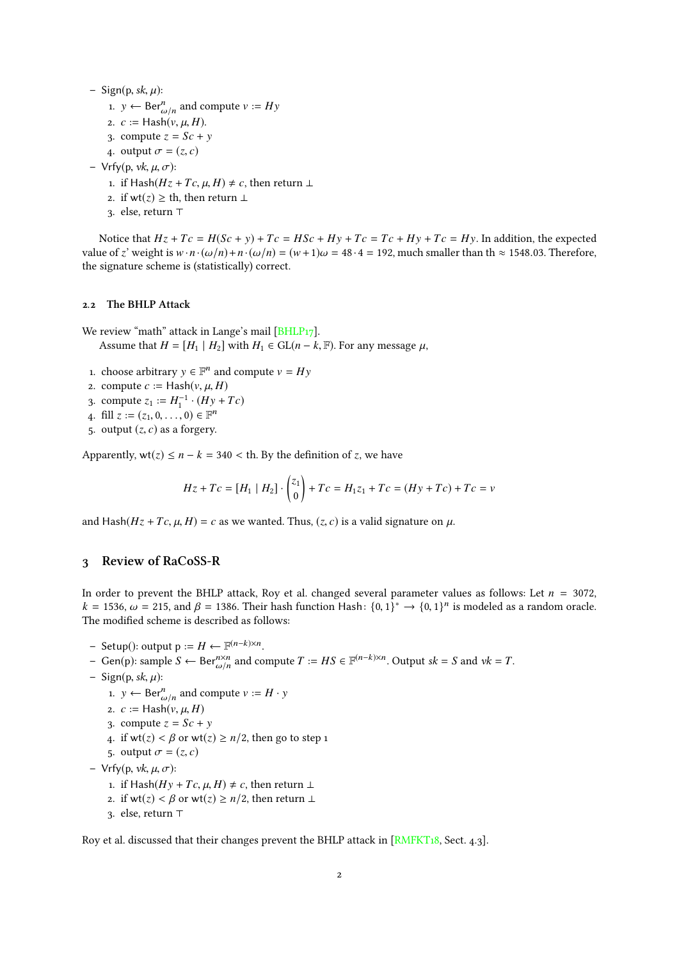<span id="page-1-0"></span>– Sign(p, sk,  $\mu$ ):

- 1.  $y \leftarrow \text{Ber}_{\omega/n}^n$  and compute  $v := Hy$
- 2.  $c := \text{Hash}(v, \mu, H)$ .<br>
2.  $c := \text{Hash}(v, \mu, H)$ .
- 3. compute  $z = Sc + y$
- 4. output  $\sigma = (z, c)$
- Vrfy(p, vk, µ, σ):
	- 1. if Hash( $Hz$  +  $Tc$ ,  $\mu$ ,  $H$ ) ≠  $c$ , then return ⊥
	- 2. if wt(*z*)  $\geq$  th, then return  $\perp$
	- 3. else, return T

Notice that  $Hz + Tc = H(Sc + y) + Tc = HSc + Hy + Tc = Tc + Hy + Tc = Hy$ . In addition, the expected value of *z*' weight is  $w \cdot n \cdot (\omega/n) + n \cdot (\omega/n) = (w+1)\omega = 48 \cdot 4 = 192$ , much smaller than th  $\approx$  1548.03. Therefore, the signature scheme is (statistically) correct.

### 2.2 The BHLP Attack

We review "math" attack in Lange's mail [BHLP<sub>17</sub>]. Assume that  $H = [H_1 | H_2]$  with  $H_1 \in GL(n - k, \mathbb{F})$ . For any message  $\mu$ ,

- 1. choose arbitrary  $y \in \mathbb{F}^n$  and compute  $v = Hy$
- 2. compute  $c := \text{Hash}(v, \mu, H)$
- 3. compute  $z_1 := H_1^{-1} \cdot (Hy + Tc)$
- 4. fill  $z := (z_1, 0, \ldots, 0) \in \mathbb{F}^n$
- 5. output  $(z, c)$  as a forgery.

Apparently,  $wt(z) \le n - k = 340 <$  th. By the definition of *z*, we have

$$
Hz + Tc = [H_1 | H_2] \cdot {z_1 \choose 0} + Tc = H_1z_1 + Tc = (Hy + Tc) + Tc = v
$$

and Hash( $Hz + Tc$ ,  $\mu$ ,  $H$ ) = *c* as we wanted. Thus, (*z*, *c*) is a valid signature on  $\mu$ .

# 3 Review of RaCoSS-R

In order to prevent the BHLP attack, Roy et al. changed several parameter values as follows: Let  $n = 3072$ ,  $k = 1536$ ,  $\omega = 215$ , and  $\beta = 1386$ . Their hash function Hash:  $\{0, 1\}^* \rightarrow \{0, 1\}^n$  is modeled as a random oracle.<br>The modified scheme is described as follows: The modified scheme is described as follows:

- $-$  Setup(): output p := *H* ←  $\mathbb{F}^{(n-k)\times n}$ .
- Gen(p): sample *S* ← Ber<sup>n×n</sup> and compute *T* := *HS* ∈  $\mathbb{F}^{(n-k)\times n}$ . Output *sk* = *S* and *vk* = *T*.<br>Sign(p, ck, *u*).
- Sign(p, sk,  $\mu$ ):
	- 1.  $y \leftarrow \text{Ber}_{\omega/n}^n$  and compute  $v := H \cdot y$
	- 2.  $c := \text{Hash}(v, \mu, H)$
	- 3. compute  $z = Sc + y$
	- 4. if  $wt(z) < \beta$  or  $wt(z) \ge n/2$ , then go to step 1
	- 5. output  $\sigma = (z, c)$
- Vrfy(p, vk, µ, σ):
	- 1. if Hash(*Hy* + *Tc*, *μ*, *H*)  $\neq$  *c*, then return ⊥
	- 2. if  $wt(z) < \beta$  or  $wt(z) \geq n/2$ , then return  $\bot$
	- 3. else, return  $\top$

Roy et al. discussed that their changes prevent the BHLP attack in [\[RMFKT18,](#page-2-2) Sect. 4.3].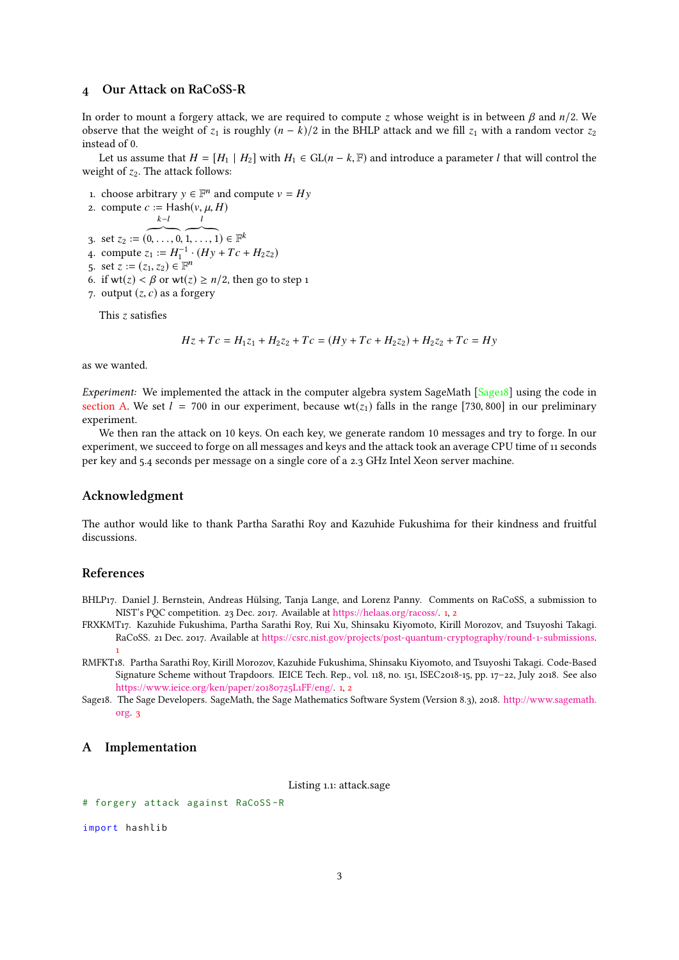# <span id="page-2-5"></span>4 Our Attack on RaCoSS-R

In order to mount a forgery attack, we are required to compute *<sup>z</sup>* whose weight is in between β and *<sup>n</sup>*/2. We observe that the weight of  $z_1$  is roughly  $(n - k)/2$  in the BHLP attack and we fill  $z_1$  with a random vector  $z_2$ instead of 0.

Let us assume that  $H = [H_1 \mid H_2]$  with  $H_1 \in GL(n - k, \mathbb{F})$  and introduce a parameter *l* that will control the weight of  $z_2$ . The attack follows:

1. choose arbitrary  $y \in \mathbb{F}^n$  and compute  $v = Hy$ 

2. compute 
$$
c := \text{Hash}(v, \mu, H)
$$
  

$$
k-l
$$

- l
- 3. set  $z_2 := \overbrace{(0, \ldots, 0, 1, \ldots, 1)}^{k-l}$ 3. set  $z_2 := (0, \ldots, 0, 1, \ldots, 1) \in \mathbb{F}^k$ <br>4. compute  $z_1 := H_1^{-1} \cdot (Hy + Tc + H_2 z_2)$  $(1, \ldots, 1) \in \mathbb{F}^k$ <br> $\stackrel{1}{\cdot}$   $(H_{\mathcal{Y}} + T_{\mathcal{C}})$
- 
- 5. set  $\overline{z} := (z_1, z_2) \in \mathbb{F}^n$ <br>6. if  $\overline{wt}(z) < \beta$  or  $\overline{wt}(z)$
- 6. if  $wt(z) < \beta$  or  $wt(z) \ge n/2$ , then go to step 1
- 7. output  $(z, c)$  as a forgery

This *z* satisfies

$$
Hz + Tc = H_1z_1 + H_2z_2 + Tc = (Hy + Tc + H_2z_2) + H_2z_2 + Tc = Hy
$$

as we wanted.

Experiment: We implemented the attack in the computer algebra system SageMath [\[Sage18\]](#page-2-3) using the code in [section A.](#page-2-4) We set  $l = 700$  in our experiment, because wt( $z_1$ ) falls in the range [730, 800] in our preliminary experiment.

We then ran the attack on 10 keys. On each key, we generate random 10 messages and try to forge. In our experiment, we succeed to forge on all messages and keys and the attack took an average CPU time of 11 seconds per key and 5.4 seconds per message on a single core of a 2.3 GHz Intel Xeon server machine.

### Acknowledgment

The author would like to thank Partha Sarathi Roy and Kazuhide Fukushima for their kindness and fruitful discussions.

# References

- <span id="page-2-1"></span>BHLP17. Daniel J. Bernstein, Andreas Hülsing, Tanja Lange, and Lorenz Panny. Comments on RaCoSS, a submission to NIST's PQC competition. 23 Dec. 2017. Available at [https://helaas.org/racoss/.](https://helaas.org/racoss/) [1,](#page-0-2) [2](#page-1-0)
- <span id="page-2-0"></span>FRXKMT17. Kazuhide Fukushima, Partha Sarathi Roy, Rui Xu, Shinsaku Kiyomoto, Kirill Morozov, and Tsuyoshi Takagi. RaCoSS. 21 Dec. 2017. Available at [https://csrc.nist.gov/projects/post-quantum-cryptography/round-1-submissions.](https://csrc.nist.gov/projects/post-quantum-cryptography/round-1-submissions) [1](#page-0-2)
- <span id="page-2-2"></span>RMFKT18. Partha Sarathi Roy, Kirill Morozov, Kazuhide Fukushima, Shinsaku Kiyomoto, and Tsuyoshi Takagi. Code-Based Signature Scheme without Trapdoors. IEICE Tech. Rep., vol. 118, no. 151, ISEC2018-15, pp. 17–22, July 2018. See also [https://www.ieice.org/ken/paper/20180725L1FF/eng/.](https://www.ieice.org/ken/paper/20180725L1FF/eng/) [1,](#page-0-2) [2](#page-1-0)
- <span id="page-2-3"></span>Sage18. The Sage Developers. SageMath, the Sage Mathematics Software System (Version 8.3), 2018. [http://www.sagemath.](http://www.sagemath.org) [org.](http://www.sagemath.org) [3](#page-2-5)

### <span id="page-2-4"></span>A Implementation

Listing 1.1: attack.sage

```
# forgery attack against RaCoSS -R
```
import hashlib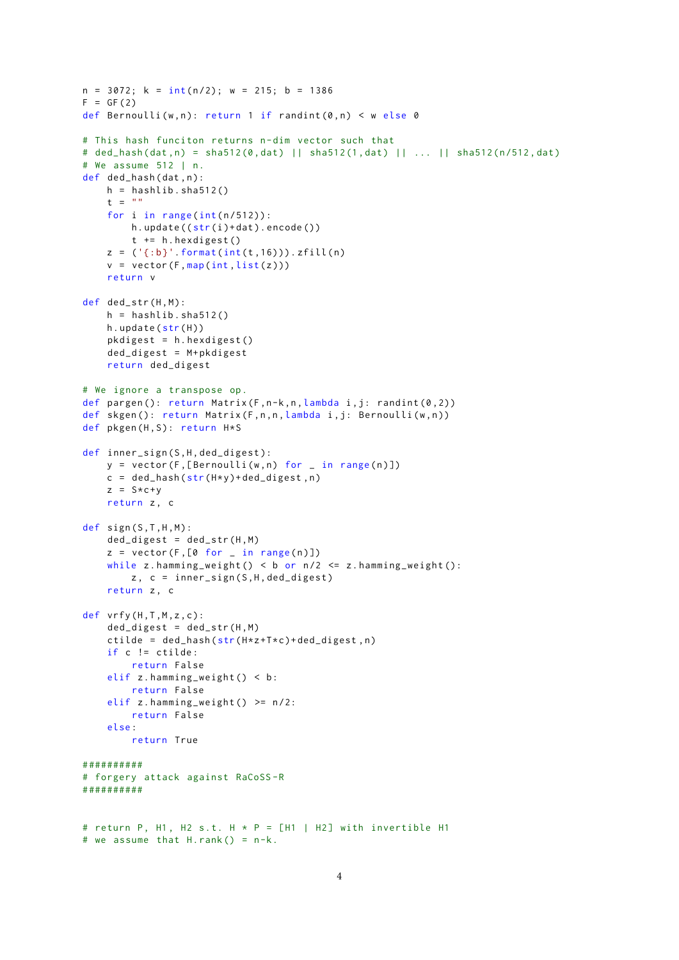```
n = 3072; k = int(n/2); w = 215; b = 1386F = GF(2)def Bernoulli (w, n): return 1 if randint (0, n) < w else 0
# This hash funciton returns n- dim vector such that
# ded_hash (dat ,n) = sha512 (0 , dat ) || sha512 (1 , dat) || ... || sha512 (n/512 , dat)
# We assume 512 | n.
def ded_hash(dat, n):
    h = hashlib.shape12()t = ""
    for i in range (int(n/512)):
        h.update((str(i)+dat).encode())t += h . hexdigest ()
    z = ('{}; b]'. format(int(t,16))). zfill(n)v = vector(F, map(int, list(z)))return v
def ded_str(H, M):
    h = hashlib.shape12()h.update(str(H))
    pkdigest = h. hexdigest()ded\_digest = M + pkdigestreturn ded_digest
# We ignore a transpose op.
def pargen (): return Matrix (F, n-k, n, \lambda) ambda i, j: randint (0, 2))
def skgen (): return Matrix (F,n,n,lambda i,j: Bernoulli (w,n))
def pkgen (H, S): return H*S
def inner_sign(S,H,ded_digest):
    y = vector(F, [Bernoulli(w, n) for \_ in range(n)])c = ded_hash(str(H*y)+ded_digest,n)
    z = S \times C + yreturn z, c
def sign(S, T, H, M):
    ded\_digest = ded\_str(H, M)z = vector(F, [0 for - in range(n)])while z.hamming_weight() < b or n/2 <= z.hamming_weight():
        z, c = inner_sign(S, H, ded_digest)
    return z, c
def vrfy(H,T,M,z,c):
    ded\_digest = ded\_str(H, M)ctilde = ded_{hash}(str(H*z+T*c)+ded_{digest}, n)if c != ctilde :
        return False
    elif z.hamming_weight() < b:
        return False
    elif z.hamming_weight() >= n/2:
        return False
    else :
        return True
# #########
# forgery attack against RaCoSS -R
# #########
# return P, H1, H2 s.t. H * P = [H1 | H2] with invertible H1
# we assume that H. rank () = n-k.
```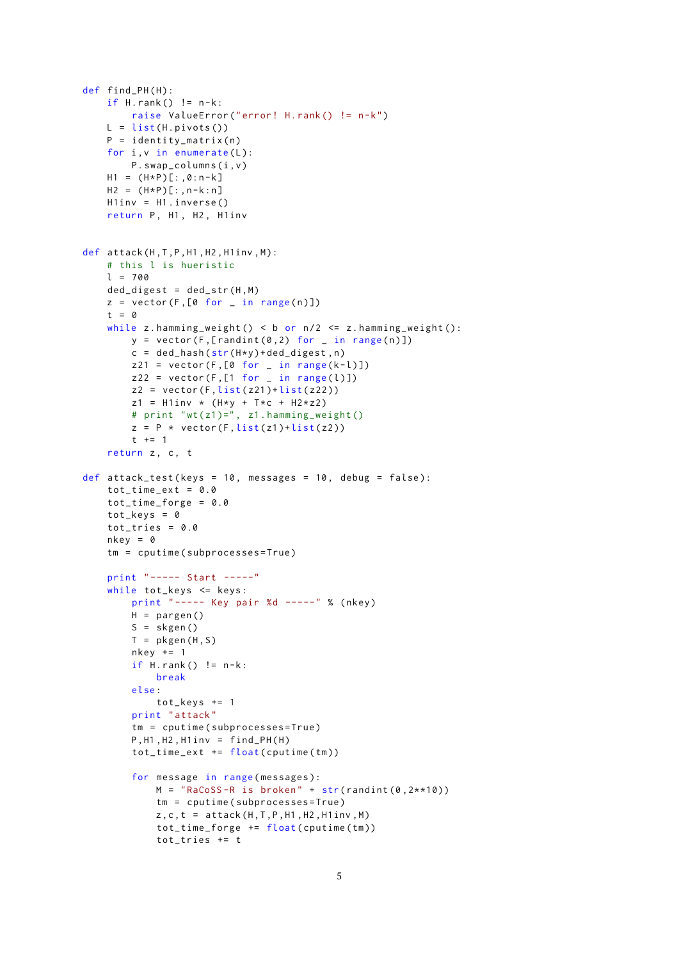```
def find_PH(H):
    if H.\text{rank}() != n-k:
        raise ValueError (" error ! H. rank () != n-k")
    L = list(H.pivots())P = i dentity_matrix (n)
    for i, v in enumerate(L):
        P . swap_columns (i , v )
    H1 = (H*P)[:, 0:n-k]H2 = (H*P)[:,n-k:n]
    H1inv = H1 . inverse ()
    return P, H1, H2, H1inv
def attack (H, T, P, H1, H2, H1inv, M):
    # this l is hueristic
    l = 700
    ded\_digest = ded\_str(H, M)z = vector(F, [0 for in range(n)])t = 0
    while z.hamming_weight() < b or n/2 <= z.hamming_weight():
        y = vector(F, [randint(0, 2) for - in range(n)])c = ded_hash(str(H*y)+ded_digest,n)
        z21 = vector(F, [0 for - in range(k-l)])z22 = vector(F, [1 for - in range(l)])z2 = vector(F, list(z21) + list(z22))z1 = H1inv * (H*y + T*c + H2*z2)
        # print "wt(z1)=", z1.hamming_weight()
        z = P * vector(F, list(z1)+list(z2))t + = 1return z, c, t
def attack_test (keys = 10, messages = 10, debug = false):
    tot_time\_ext = 0.0tot_time_forge = 0.0
    tot_{\text{keys}} = 0tot\_tries = 0.0nkey = 0tm = cputime ( subprocesses = True )
    print " ----- Start -----"
    while tot_keys <= keys :
        print "----- Key pair %d -----" % (nkey)
        H = pargen()S = skgen()
        T = pkgen(H, S)nkey += 1if H.\nrank() := n-k:
            break
        else :
             tot_keys += 1
        print " attack "
        tm = cputime ( subprocesses = True )
        P.H1.H2.H1inv = find PH ( H )tot_time\_ext += float(cputime(tm))for message in range ( messages ):
            M = "RaCoSS-R is broken" + str(randint (0, 2**10))tm = cputime ( subprocesses = True )
            z, c, t = \text{attack}(H, T, P, H1, H2, H1inv, M)
            tot_time_forge += float ( cputime ( tm ))
            tot_tries += t
```